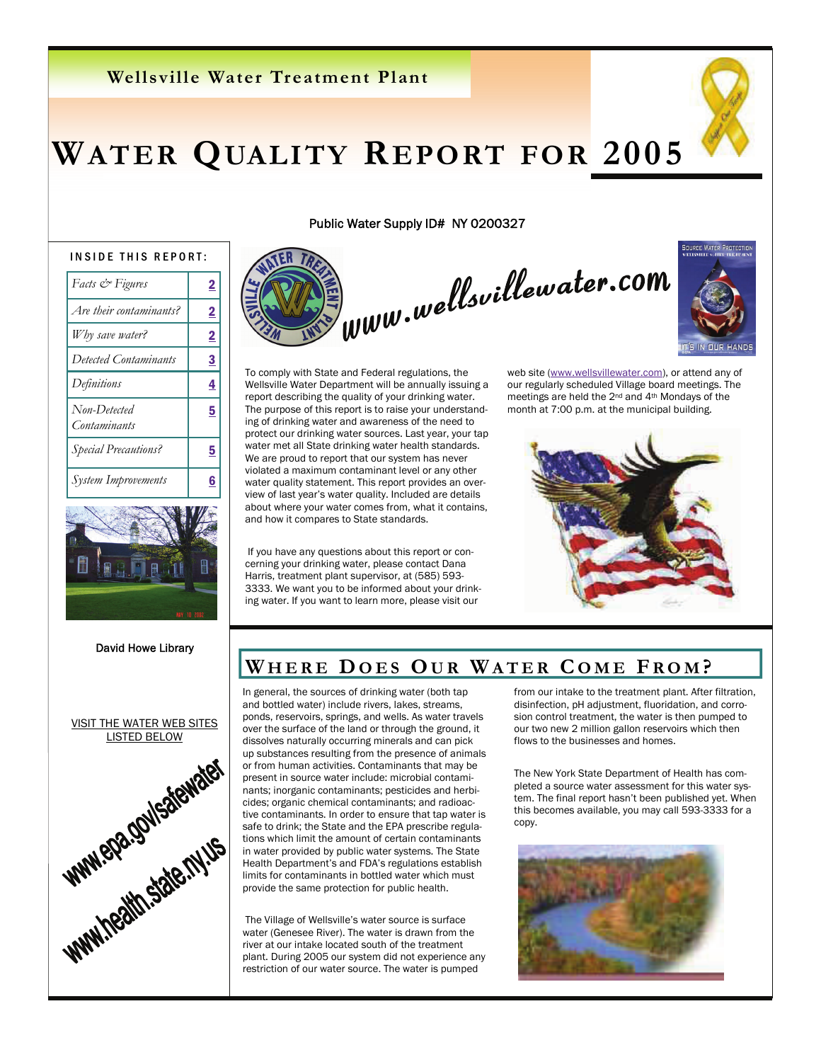### **Wellsville Water Treatment Plant**

# **WATER QUALITY REPORT FOR 2005**

#### INSIDE THIS REPORT:

| <i>Facts</i> & Figures              | 2              |
|-------------------------------------|----------------|
| Are their contaminants?             | $\overline{2}$ |
| Why save water?                     | <u>2</u>       |
| Detected Contaminants               | 3              |
| Definitions                         | 4              |
| Non-Detected<br><b>Contaminants</b> | 5              |
| <b>Special Precautions?</b>         | 5              |
| System Improvements                 | 6              |
|                                     |                |



David Howe Library



Public Water Supply ID# NY 0200327





To comply with State and Federal regulations, the Wellsville Water Department will be annually issuing a report describing the quality of your drinking water. The purpose of this report is to raise your understanding of drinking water and awareness of the need to protect our drinking water sources. Last year, your tap water met all State drinking water health standards. We are proud to report that our system has never violated a maximum contaminant level or any other water quality statement. This report provides an overview of last year's water quality. Included are details about where your water comes from, what it contains, and how it compares to State standards.

 If you have any questions about this report or concerning your drinking water, please contact Dana Harris, treatment plant supervisor, at (585) 593- 3333. We want you to be informed about your drinking water. If you want to learn more, please visit our

web site (www.wellsvillewater.com), or attend any of our regularly scheduled Village board meetings. The meetings are held the 2nd and 4th Mondays of the month at 7:00 p.m. at the municipal building.



### WHERE DOES OUR WATER COME FROM?

In general, the sources of drinking water (both tap and bottled water) include rivers, lakes, streams, ponds, reservoirs, springs, and wells. As water travels dissolves naturally occurring minerals and can pick up substances resulting from the presence of animals or from human activities. Contaminants that may be present in source water include: microbial contaminants; inorganic contaminants; pesticides and herbicides; organic chemical contaminants; and radioactive contaminants. In order to ensure that tap water is safe to drink; the State and the EPA prescribe regulations which limit the amount of certain contaminants in water provided by public water systems. The State Health Department's and FDA's regulations establish limits for contaminants in bottled water which must provide the same protection for public health.

 The Village of Wellsville's water source is surface water (Genesee River). The water is drawn from the river at our intake located south of the treatment plant. During 2005 our system did not experience any restriction of our water source. The water is pumped

from our intake to the treatment plant. After filtration, disinfection, pH adjustment, fluoridation, and corrosion control treatment, the water is then pumped to our two new 2 million gallon reservoirs which then flows to the businesses and homes.

The New York State Department of Health has completed a source water assessment for this water system. The final report hasn't been published yet. When this becomes available, you may call 593-3333 for a copy.

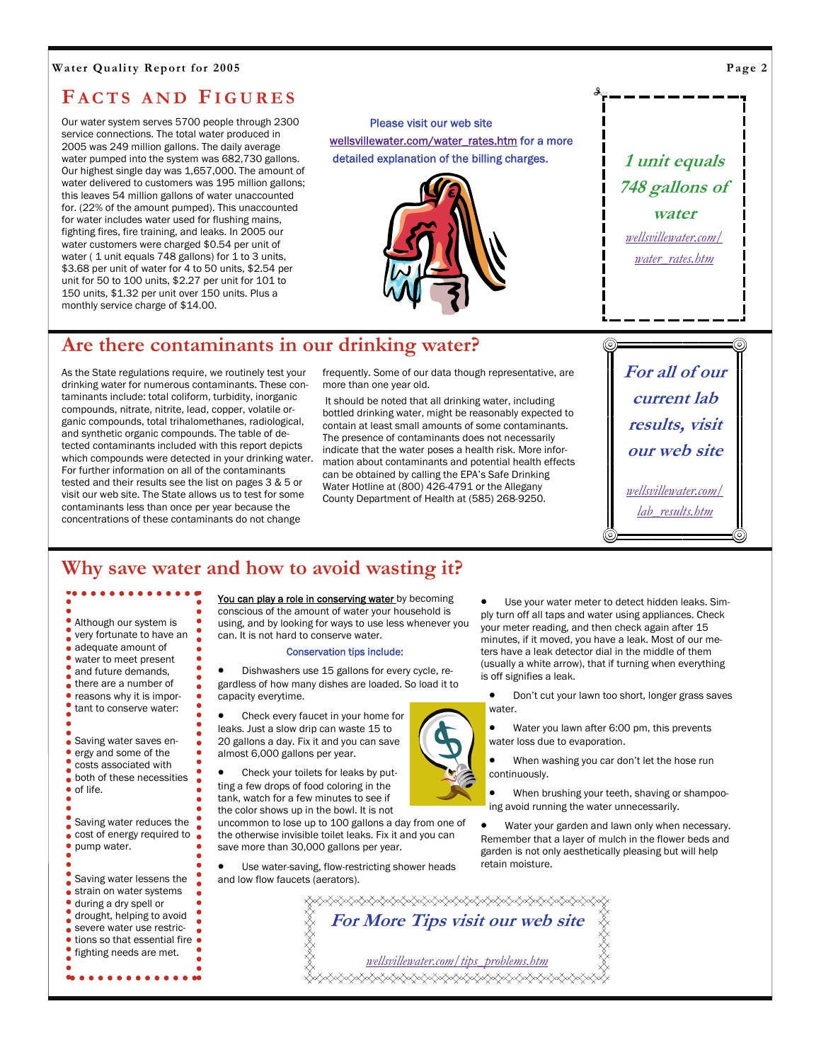#### **Water Quality Report for 2005**

### **F ACTS AND FIGURES**

Our water system serves 5700 people through 2300 service connections. The total water produced in 2005 was 249 million gallons. The daily average water pumped into the system was 682,730 gallons. Our highest single day was 1,657,000. The amount of water delivered to customers was 195 million gallons; this leaves 54 million gallons of water unaccounted for. (22% of the amount pumped). This unaccounted for water includes water used for flushing mains, fighting fires, fire training, and leaks. In 2005 our water customers were charged \$0.54 per unit of water ( 1 unit equals 748 gallons) for 1 to 3 units, \$3.68 per unit of water for 4 to 50 units, \$2.54 per unit for 50 to 100 units, \$2.27 per unit for 101 to 150 units, \$1.32 per unit over 150 units. Plus a monthly service charge of \$14.00.

 Please visit our web site wellsvillewater.com/water\_rates.htm for a more detailed explanation of the billing charges.



# **1 unit equals 748 gallons of water**  *wellsvillewater.com/ water\_rates.htm*

**For all of our** 

**current lab results, visit our web site** 

*wellsvillewater.com/ lab\_results.htm*

### **Are there contaminants in our drinking water?**

As the State regulations require, we routinely test your drinking water for numerous contaminants. These contaminants include: total coliform, turbidity, inorganic compounds, nitrate, nitrite, lead, copper, volatile organic compounds, total trihalomethanes, radiological, and synthetic organic compounds. The table of detected contaminants included with this report depicts which compounds were detected in your drinking water. For further information on all of the contaminants tested and their results see the list on pages 3 & 5 or visit our web site. The State allows us to test for some contaminants less than once per year because the concentrations of these contaminants do not change

frequently. Some of our data though representative, are more than one year old.

 It should be noted that all drinking water, including bottled drinking water, might be reasonably expected to contain at least small amounts of some contaminants. The presence of contaminants does not necessarily indicate that the water poses a health risk. More information about contaminants and potential health effects can be obtained by calling the EPA's Safe Drinking Water Hotline at (800) 426-4791 or the Allegany County Department of Health at (585) 268-9250.

### **Why save water and how to avoid wasting it?**

Although our system is very fortunate to have an adequate amount of water to meet present and future demands, there are a number of reasons why it is important to conserve water:

Saving water saves energy and some of the costs associated with both of these necessities of life.

Saving water reduces the cost of energy required to pump water.

Saving water lessens the strain on water systems during a dry spell or drought, helping to avoid severe water use restrictions so that essential fire fighting needs are met.

 $$ 

You can play a role in conserving water by becoming conscious of the amount of water your household is using, and by looking for ways to use less whenever you can. It is not hard to conserve water.

#### Conservation tips include:

• Dishwashers use 15 gallons for every cycle, regardless of how many dishes are loaded. So load it to capacity everytime.

• Check every faucet in your home for leaks. Just a slow drip can waste 15 to 20 gallons a day. Fix it and you can save almost 6,000 gallons per year.

• Check your toilets for leaks by putting a few drops of food coloring in the tank, watch for a few minutes to see if the color shows up in the bowl. It is not

uncommon to lose up to 100 gallons a day from one of the otherwise invisible toilet leaks. Fix it and you can save more than 30,000 gallons per year.

• Use water-saving, flow-restricting shower heads and low flow faucets (aerators).

Use your water meter to detect hidden leaks. Simply turn off all taps and water using appliances. Check your meter reading, and then check again after 15 minutes, if it moved, you have a leak. Most of our meters have a leak detector dial in the middle of them (usually a white arrow), that if turning when everything is off signifies a leak.

• Don't cut your lawn too short, longer grass saves water.

• Water you lawn after 6:00 pm, this prevents water loss due to evaporation.

• When washing you car don't let the hose run continuously.

• When brushing your teeth, shaving or shampooing avoid running the water unnecessarily.

Water your garden and lawn only when necessary. Remember that a layer of mulch in the flower beds and garden is not only aesthetically pleasing but will help retain moisture.

**⋋⋋⋌⋋⋋⋋⋌⋋⋋⋌⋋⋋**⋋⋌⋋⋌⋋⋌⋋⋌⋋⋌⋋⋌⋋⋌⋋⋌⋋⋌⋋⋌⋋ **For More Tips visit our web site**  *wellsvillewater.com/tips\_problems.htm***⋋⋋⋌⋋⋋⋌⋋⋋⋌⋋⋋⋋⋌⋋⋋**⋋⋌⋋⋌⋋⋌⋋⋌⋋⋌⋋⋌⋋⋌⋋⋌⋋



**Page 2**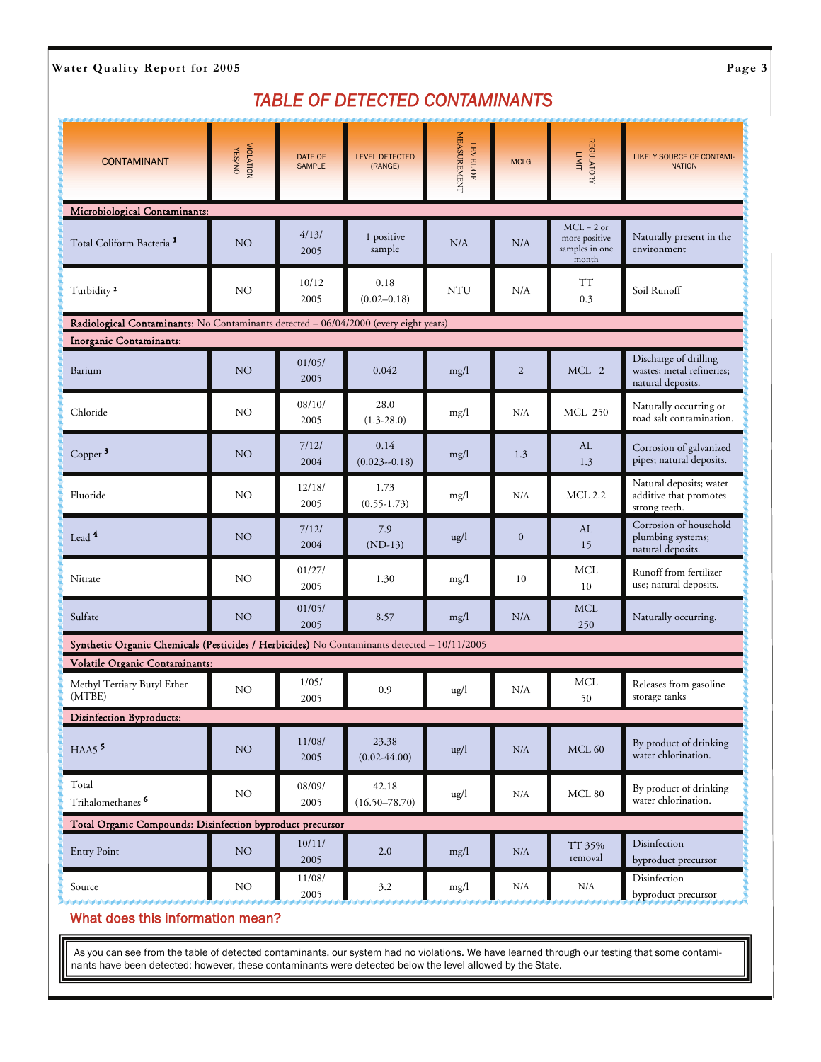Water Quality Report for 2005 **Page 3** 

### *TABLE OF DETECTED CONTAMINANTS*

| <b>CONTAMINANT</b>                                                                          | VIOLATION<br>VIOLATION | DATE OF<br><b>SAMPLE</b> | <b>LEVEL DETECTED</b><br>(RANGE) | <b>MEASUREMENT</b><br>LEVEL OF | <b>MCLG</b>    | <b>REGULATORY</b><br><b>LIMIT</b>                        | LIKELY SOURCE OF CONTAMI-<br><b>NATION</b>                              |  |  |
|---------------------------------------------------------------------------------------------|------------------------|--------------------------|----------------------------------|--------------------------------|----------------|----------------------------------------------------------|-------------------------------------------------------------------------|--|--|
| Microbiological Contaminants:                                                               |                        |                          |                                  |                                |                |                                                          |                                                                         |  |  |
| Total Coliform Bacteria <sup>1</sup>                                                        | NO                     | 4/13/<br>2005            | 1 positive<br>sample             | N/A                            | N/A            | $MCL = 2$ or<br>more positive<br>samples in one<br>month | Naturally present in the<br>environment                                 |  |  |
| Turbidity <sup>2</sup>                                                                      | NO                     | 10/12<br>2005            | 0.18<br>$(0.02 - 0.18)$          | <b>NTU</b>                     | N/A            | TT<br>0.3                                                | Soil Runoff                                                             |  |  |
| Radiological Contaminants: No Contaminants detected - 06/04/2000 (every eight years)        |                        |                          |                                  |                                |                |                                                          |                                                                         |  |  |
| <b>Inorganic Contaminants:</b>                                                              |                        |                          |                                  |                                |                |                                                          |                                                                         |  |  |
| Barium                                                                                      | NO <sub></sub>         | 01/05/<br>2005           | 0.042                            | mg/l                           | $\overline{2}$ | MCL 2                                                    | Discharge of drilling<br>wastes; metal refineries;<br>natural deposits. |  |  |
| Chloride                                                                                    | NO                     | 08/10/<br>2005           | 28.0<br>$(1.3 - 28.0)$           | mg/l                           | N/A            | <b>MCL 250</b>                                           | Naturally occurring or<br>road salt contamination.                      |  |  |
| Copper $3$                                                                                  | NO                     | 7/12/<br>2004            | 0.14<br>$(0.023 - 0.18)$         | mg/l                           | 1.3            | AL<br>1.3                                                | Corrosion of galvanized<br>pipes; natural deposits.                     |  |  |
| Fluoride                                                                                    | NO                     | 12/18/<br>2005           | 1.73<br>$(0.55 - 1.73)$          | mg/l                           | N/A            | <b>MCL 2.2</b>                                           | Natural deposits; water<br>additive that promotes<br>strong teeth.      |  |  |
| Lead $4$                                                                                    | NO <sub>1</sub>        | 7/12/<br>2004            | 7.9<br>$(ND-13)$                 | $\frac{u}{g}$                  | $\mathbf{0}$   | AL<br>15                                                 | Corrosion of household<br>plumbing systems;<br>natural deposits.        |  |  |
| Nitrate                                                                                     | NO                     | 01/27/<br>2005           | 1.30                             | mg/l                           | 10             | <b>MCL</b><br>10                                         | Runoff from fertilizer<br>use; natural deposits.                        |  |  |
| Sulfate                                                                                     | NO                     | 01/05/<br>2005           | 8.57                             | mg/l                           | N/A            | <b>MCL</b><br>250                                        | Naturally occurring.                                                    |  |  |
| Synthetic Organic Chemicals (Pesticides / Herbicides) No Contaminants detected - 10/11/2005 |                        |                          |                                  |                                |                |                                                          |                                                                         |  |  |
| Volatile Organic Contaminants:                                                              |                        |                          |                                  |                                |                |                                                          |                                                                         |  |  |
| Methyl Tertiary Butyl Ether<br>(MTBE)                                                       | NO                     | 1/05/<br>2005            | 0.9                              | ug/l                           | N/A            | <b>MCL</b><br>50                                         | Releases from gasoline<br>storage tanks                                 |  |  |
| Disinfection Byproducts:                                                                    |                        |                          |                                  |                                |                |                                                          |                                                                         |  |  |
| $HAAS$ <sup>5</sup>                                                                         | NO                     | 11/08/<br>2005           | 23.38<br>$(0.02 - 44.00)$        | ug/l                           | N/A            | MCL $60$                                                 | By product of drinking<br>water chlorination.                           |  |  |
| Total<br>Trihalomethanes <sup>6</sup>                                                       | NO                     | 08/09/<br>2005           | 42.18<br>$(16.50 - 78.70)$       | ug/l                           | N/A            | MCL 80                                                   | By product of drinking<br>water chlorination.                           |  |  |
| Total Organic Compounds: Disinfection byproduct precursor                                   |                        |                          |                                  |                                |                |                                                          |                                                                         |  |  |
| <b>Entry Point</b>                                                                          | NO                     | 10/11/<br>2005           | 2.0                              | mg/l                           | N/A            | TT 35%<br>removal                                        | Disinfection<br>byproduct precursor                                     |  |  |
| Source                                                                                      | NO                     | 11/08/<br>2005           | 3.2                              | mg/l                           | N/A            | N/A                                                      | Disinfection<br>byproduct precursor                                     |  |  |

What does this information mean?

As you can see from the table of detected contaminants, our system had no violations. We have learned through our testing that some contaminants have been detected: however, these contaminants were detected below the level allowed by the State.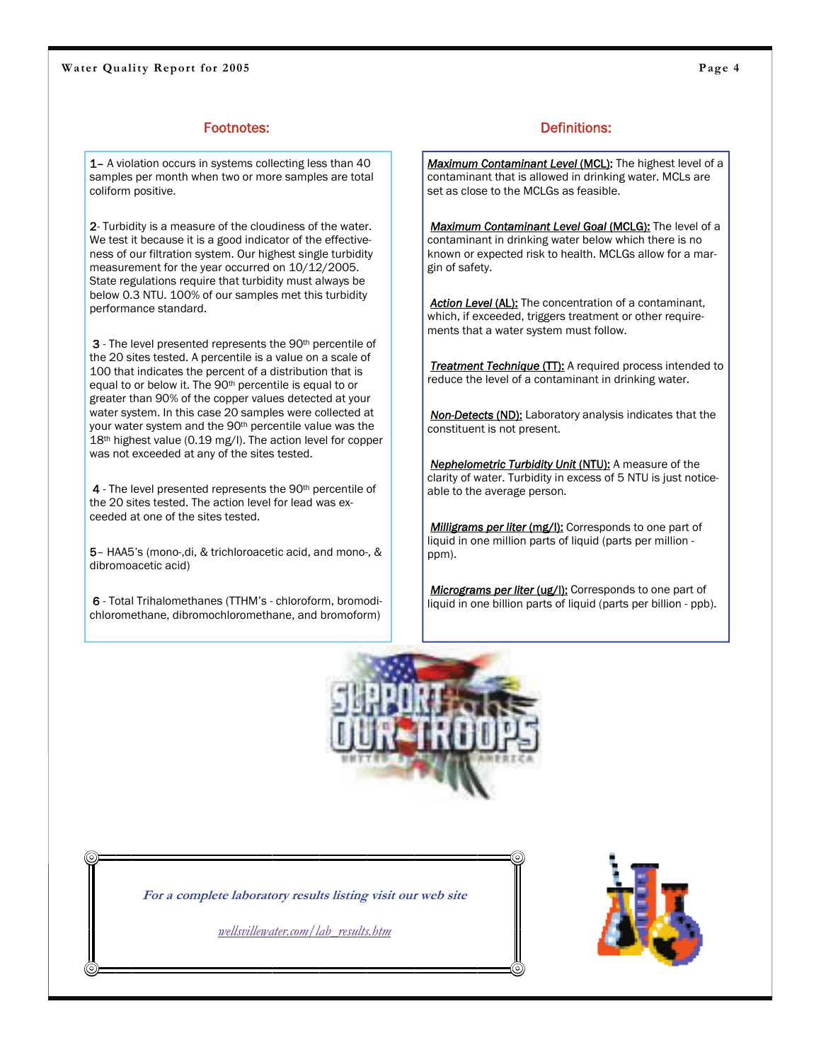1- A violation occurs in systems collecting less than 40 samples per month when two or more samples are total coliform positive.

2- Turbidity is a measure of the cloudiness of the water. We test it because it is a good indicator of the effectiveness of our filtration system. Our highest single turbidity measurement for the year occurred on 10/12/2005. State regulations require that turbidity must always be below 0.3 NTU. 100% of our samples met this turbidity performance standard.

3 - The level presented represents the 90<sup>th</sup> percentile of the 20 sites tested. A percentile is a value on a scale of 100 that indicates the percent of a distribution that is equal to or below it. The 90th percentile is equal to or greater than 90% of the copper values detected at your water system. In this case 20 samples were collected at your water system and the 90<sup>th</sup> percentile value was the 18<sup>th</sup> highest value (0.19 mg/l). The action level for copper was not exceeded at any of the sites tested.

4 - The level presented represents the 90<sup>th</sup> percentile of the 20 sites tested. The action level for lead was exceeded at one of the sites tested.

5– HAA5's (mono-,di, & trichloroacetic acid, and mono-, & dibromoacetic acid)

6 - Total Trihalomethanes (TTHM's - chloroform, bromodichloromethane, dibromochloromethane, and bromoform)

### Footnotes: Entertainment of the contract of the Definitions:

Maximum Contaminant Level (MCL): The highest level of a contaminant that is allowed in drinking water. MCLs are set as close to the MCLGs as feasible.

*Maximum Contaminant Level Goal* (MCLG): The level of a contaminant in drinking water below which there is no known or expected risk to health. MCLGs allow for a margin of safety.

**Action Level (AL):** The concentration of a contaminant, which, if exceeded, triggers treatment or other requirements that a water system must follow.

**Treatment Technique (TT):** A required process intended to reduce the level of a contaminant in drinking water.

*Non-Detects* (ND): Laboratory analysis indicates that the constituent is not present.

*Nephelometric Turbidity Unit* (NTU): A measure of the clarity of water. Turbidity in excess of 5 NTU is just noticeable to the average person.

*Milligrams per liter (mg/l):* Corresponds to one part of liquid in one million parts of liquid (parts per million ppm).

**Micrograms per liter (ug/l):** Corresponds to one part of liquid in one billion parts of liquid (parts per billion - ppb).





**For a complete laboratory results listing visit our web site** 

*wellsvillewater.com/lab\_results.htm*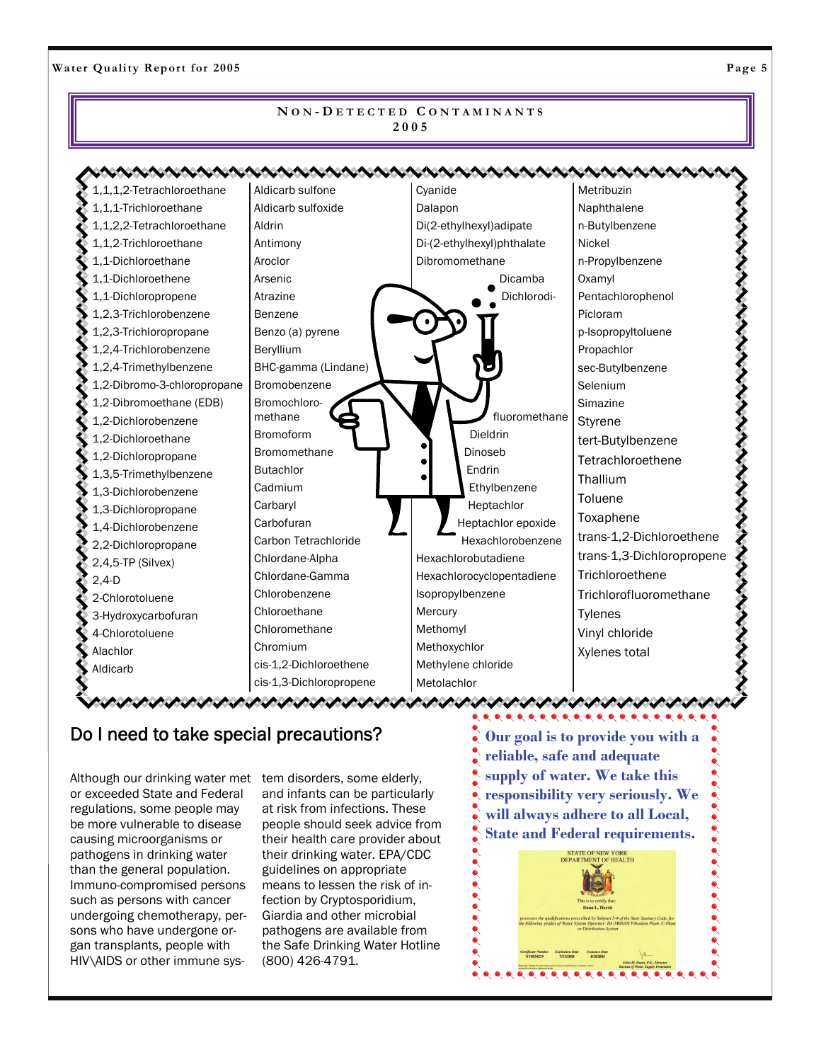Water Quality Report for 2005 **Page 5** 

#### **N O N - D ETECTED C ONTAMINANTS 2005**

Aldicarb sulfone 1,1,1,2-Tetrachloroethane **Cyanide** Metribuzin くそそそそそそそそそそそそそそそそそそそそそそ 1,1,1-Trichloroethane Aldicarb sulfoxide Dalapon Naphthalene 1,1,2,2-Tetrachloroethane Aldrin Di(2-ethylhexyl)adipate n-Butylbenzene 1,1,2-Trichloroethane Antimony Nickel Di-(2-ethylhexyl)phthalate 1,1-Dichloroethane Aroclor Dibromomethane n-Propylbenzene 1,1-Dichloroethene Arsenic Oxamyl Dicamba 1,1-Dichloropropene Atrazine Dichlorodi-Pentachlorophenol 1,2,3-Trichlorobenzene Benzene Picloram 1,2,3-Trichloropropane Benzo (a) pyrene p-Isopropyltoluene 1,2,4-Trichlorobenzene Beryllium Propachlor 1,2,4-Trimethylbenzene BHC-gamma (Lindane) sec-Butylbenzene 1,2-Dibromo-3-chloropropane Bromobenzene Selenium 1,2-Dibromoethane (EDB) Bromochloro-Simazine fluoromethane methane 1,2-Dichlorobenzene Styrene Dieldrin Bromoform 1,2-Dichloroethane tert-Butylbenzene Bromomethane Dinoseb 1,2-Dichloropropane **Tetrachloroethene** Butachlor Endrin 1,3,5-Trimethylbenzene **Thallium** Cadmium Ethylbenzene 1,3-Dichlorobenzene Toluene **Carbaryl** Heptachlor 1,3-Dichloropropane Toxaphene **Carbofuran** Heptachlor epoxide 1,4-Dichlorobenzene trans-1,2-Dichloroethene Carbon Tetrachloride Hexachlorobenzene 2,2-Dichloropropane trans-1,3-Dichloropropene Chlordane-Alpha Hexachlorobutadiene 2,4,5-TP (Silvex) Chlordane-Gamma Hexachlorocyclopentadiene Trichloroethene 2,4-D Chlorobenzene Isopropylbenzene Trichlorofluoromethane 2-Chlorotoluene Chloroethane **Mercury** Tylenes 3-Hydroxycarbofuran Chloromethane Methomyl Vinyl chloride 4-Chlorotoluene Chromium Methoxychlor Alachlor Xylenes total cis-1,2-Dichloroethene Methylene chloride Aldicarb cis-1,3-Dichloropropene Metolachlor

### Do I need to take special precautions?

いいいい いいいい いいいい いいいい

Although our drinking water met tem disorders, some elderly, or exceeded State and Federal regulations, some people may be more vulnerable to disease causing microorganisms or pathogens in drinking water than the general population. Immuno-compromised persons such as persons with cancer undergoing chemotherapy, persons who have undergone organ transplants, people with HIV\AIDS or other immune sys-

and infants can be particularly at risk from infections. These people should seek advice from their health care provider about their drinking water. EPA/CDC guidelines on appropriate means to lessen the risk of infection by Cryptosporidium, Giardia and other microbial pathogens are available from the Safe Drinking Water Hotline (800) 426-4791.

**Our goal is to provide you with a reliable, safe and adequate supply of water. We take this responsibility very seriously. We will always adhere to all Local, State and Federal requirements.** 

ひょうけいきんけいきけいきけいきょう